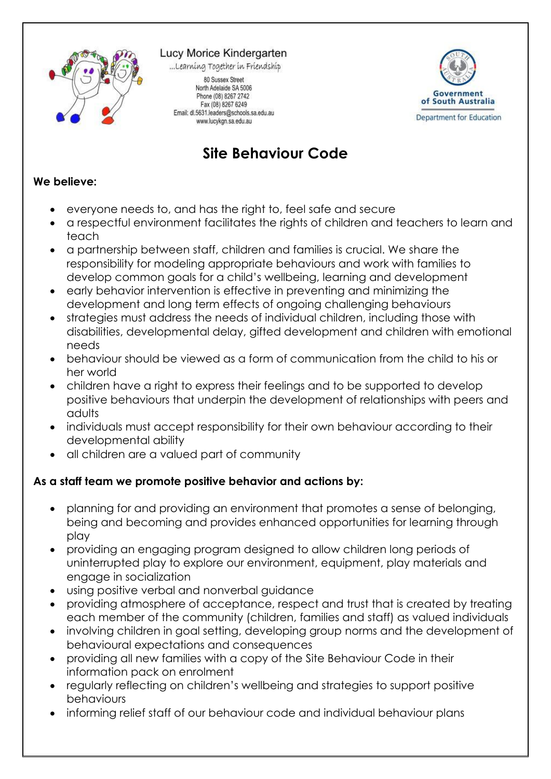

Lucy Morice Kindergarten

...Learning Together in Friendship



80 Sussex Street North Adelaide SA 5006 Phone (08) 8267 2742 Fax (08) 8267 6249 Email: dl.5631.leaders@schools.sa.edu.au www.lucykgn.sa.edu.au

## **Site Behaviour Code**

## **We believe:**

- everyone needs to, and has the right to, feel safe and secure
- a respectful environment facilitates the rights of children and teachers to learn and teach
- a partnership between staff, children and families is crucial. We share the responsibility for modeling appropriate behaviours and work with families to develop common goals for a child's wellbeing, learning and development
- early behavior intervention is effective in preventing and minimizing the development and long term effects of ongoing challenging behaviours
- strategies must address the needs of individual children, including those with disabilities, developmental delay, gifted development and children with emotional needs
- behaviour should be viewed as a form of communication from the child to his or her world
- children have a right to express their feelings and to be supported to develop positive behaviours that underpin the development of relationships with peers and adults
- individuals must accept responsibility for their own behaviour according to their developmental ability
- all children are a valued part of community

## **As a staff team we promote positive behavior and actions by:**

- planning for and providing an environment that promotes a sense of belonging, being and becoming and provides enhanced opportunities for learning through play
- providing an engaging program designed to allow children long periods of uninterrupted play to explore our environment, equipment, play materials and engage in socialization
- using positive verbal and nonverbal guidance
- providing atmosphere of acceptance, respect and trust that is created by treating each member of the community (children, families and staff) as valued individuals
- involving children in goal setting, developing group norms and the development of behavioural expectations and consequences
- providing all new families with a copy of the Site Behaviour Code in their information pack on enrolment
- regularly reflecting on children's wellbeing and strategies to support positive behaviours
- informing relief staff of our behaviour code and individual behaviour plans